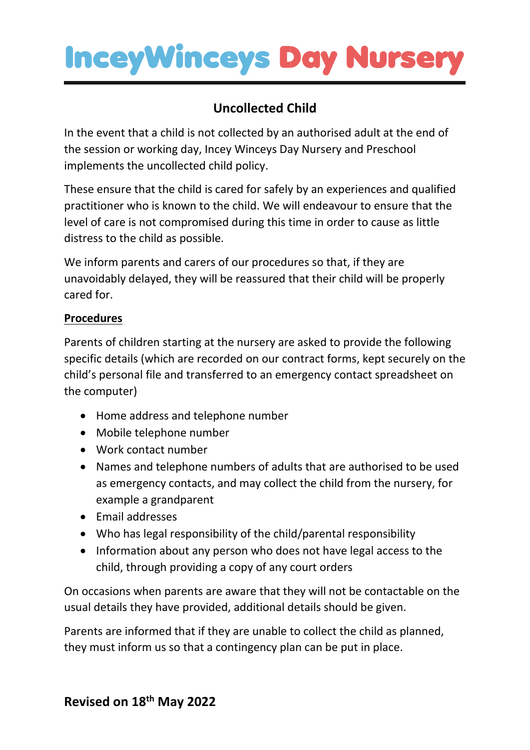## **InceyWinceys Day Nurser**

### **Uncollected Child**

In the event that a child is not collected by an authorised adult at the end of the session or working day, Incey Winceys Day Nursery and Preschool implements the uncollected child policy.

These ensure that the child is cared for safely by an experiences and qualified practitioner who is known to the child. We will endeavour to ensure that the level of care is not compromised during this time in order to cause as little distress to the child as possible.

We inform parents and carers of our procedures so that, if they are unavoidably delayed, they will be reassured that their child will be properly cared for.

#### **Procedures**

Parents of children starting at the nursery are asked to provide the following specific details (which are recorded on our contract forms, kept securely on the child's personal file and transferred to an emergency contact spreadsheet on the computer)

- Home address and telephone number
- Mobile telephone number
- Work contact number
- Names and telephone numbers of adults that are authorised to be used as emergency contacts, and may collect the child from the nursery, for example a grandparent
- Email addresses
- Who has legal responsibility of the child/parental responsibility
- Information about any person who does not have legal access to the child, through providing a copy of any court orders

On occasions when parents are aware that they will not be contactable on the usual details they have provided, additional details should be given.

Parents are informed that if they are unable to collect the child as planned, they must inform us so that a contingency plan can be put in place.